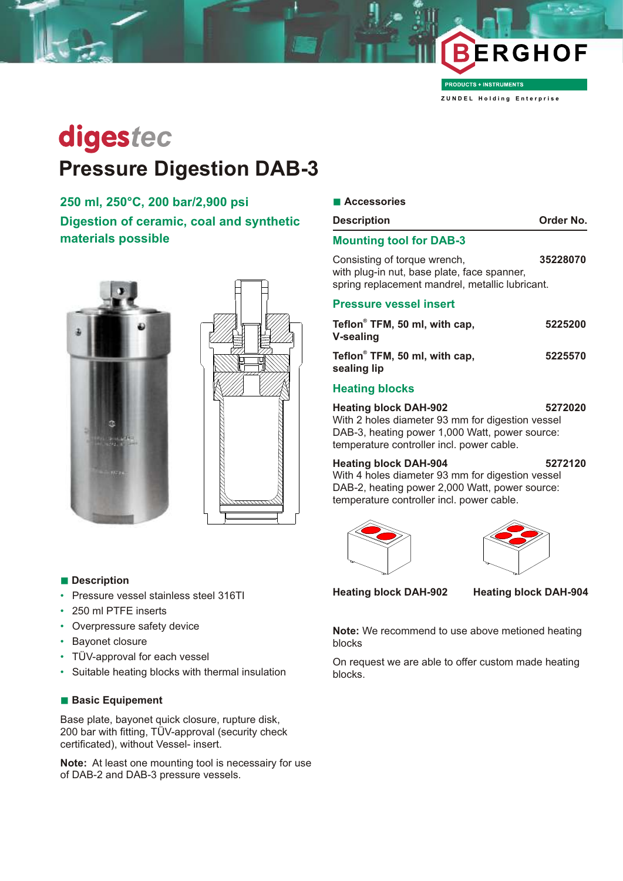

**PRODUCTS + INSTRUMENTS** 

**Z U N D E L H o l d i n g E n t e r p r i s e**

# digestec **Pressure Digestion DAB-3**

## **250 ml, 250°C, 200 bar/2,900 psi Digestion of ceramic, coal and synthetic**

**materials possible**





#### **n** Description

- Pressure vessel stainless steel 316TI
- 250 ml PTFE inserts
- Overpressure safety device
- Bayonet closure
- TÜV-approval for each vessel
- Suitable heating blocks with thermal insulation

#### **n Basic Equipement**

Base plate, bayonet quick closure, rupture disk, 200 bar with fitting, TÜV-approval (security check certificated), without Vessel- insert.

**Note:** At least one mounting tool is necessairy for use of DAB-2 and DAB-3 pressure vessels.

| <b>Description</b>                                                                                                             | Order No. |
|--------------------------------------------------------------------------------------------------------------------------------|-----------|
| <b>Mounting tool for DAB-3</b>                                                                                                 |           |
| Consisting of torque wrench,<br>with plug-in nut, base plate, face spanner,<br>spring replacement mandrel, metallic lubricant. | 35228070  |
| <b>Droceuro vocentinenti</b>                                                                                                   |           |

#### **Pressure vessel insert**

| Teflon® TFM, 50 ml, with cap,<br><b>V-sealing</b> | 5225200 |
|---------------------------------------------------|---------|
| Teflon® TFM, 50 ml, with cap,<br>sealing lip      | 5225570 |
|                                                   |         |

#### **Heating blocks**

**Heating block DAH-902 5272020** With 2 holes diameter 93 mm for digestion vessel DAB-3, heating power 1,000 Watt, power source: temperature controller incl. power cable.

#### **Heating block DAH-904 5272120**

With 4 holes diameter 93 mm for digestion vessel DAB-2, heating power 2,000 Watt, power source: temperature controller incl. power cable.





**Heating block DAH-902 Heating block DAH-904**

**Note:** We recommend to use above metioned heating blocks

On request we are able to offer custom made heating blocks.